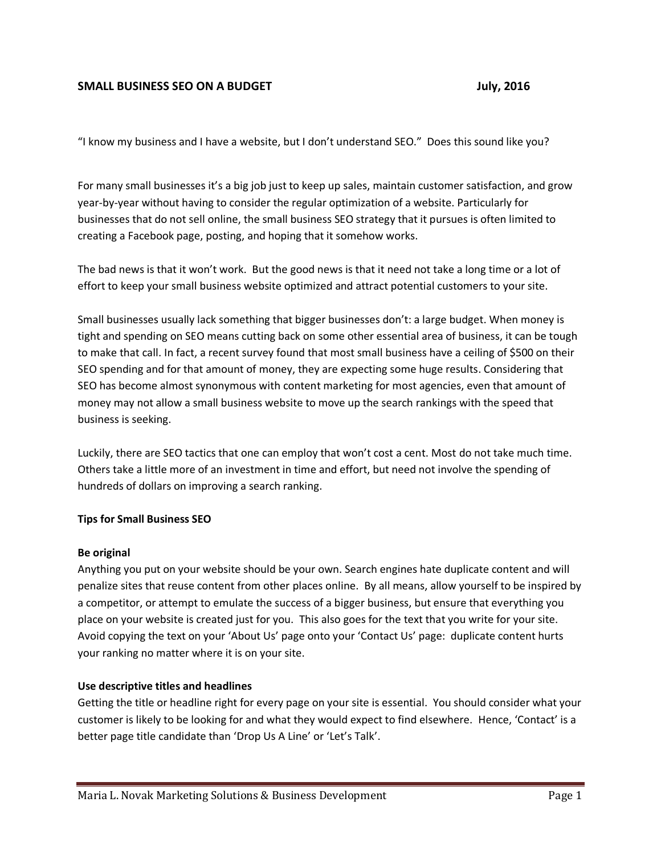# **SMALL BUSINESS SEO ON A BUDGET AND STATE STATES AND STATE ASSAULT ASSAULT ASSAULT ASSAULT ASSAULT ASSAULT ASSAULT**

"I know my business and I have a website, but I don't understand SEO." Does this sound like you?

For many small businesses it's a big job just to keep up sales, maintain customer satisfaction, and grow year-by-year without having to consider the regular optimization of a website. Particularly for businesses that do not sell online, the small business SEO strategy that it pursues is often limited to creating a Facebook page, posting, and hoping that it somehow works.

The bad news is that it won't work. But the good news is that it need not take a long time or a lot of effort to keep your small business website optimized and attract potential customers to your site.

Small businesses usually lack something that bigger businesses don't: a large budget. When money is tight and spending on SEO means cutting back on some other essential area of business, it can be tough to make that call. In fact, a recent survey found that most small business have a ceiling of \$500 on their SEO spending and for that amount of money, they are expecting some huge results. Considering that SEO has become almost synonymous with content marketing for most agencies, even that amount of money may not allow a small business website to move up the search rankings with the speed that business is seeking.

Luckily, there are SEO tactics that one can employ that won't cost a cent. Most do not take much time. Others take a little more of an investment in time and effort, but need not involve the spending of hundreds of dollars on improving a search ranking.

### **Tips for Small Business SEO**

### **Be original**

Anything you put on your website should be your own. Search engines hate duplicate content and will penalize sites that reuse content from other places online. By all means, allow yourself to be inspired by a competitor, or attempt to emulate the success of a bigger business, but ensure that everything you place on your website is created just for you. This also goes for the text that you write for your site. Avoid copying the text on your 'About Us' page onto your 'Contact Us' page: duplicate content hurts your ranking no matter where it is on your site.

### **Use descriptive titles and headlines**

Getting the title or headline right for every page on your site is essential. You should consider what your customer is likely to be looking for and what they would expect to find elsewhere. Hence, 'Contact' is a better page title candidate than 'Drop Us A Line' or 'Let's Talk'.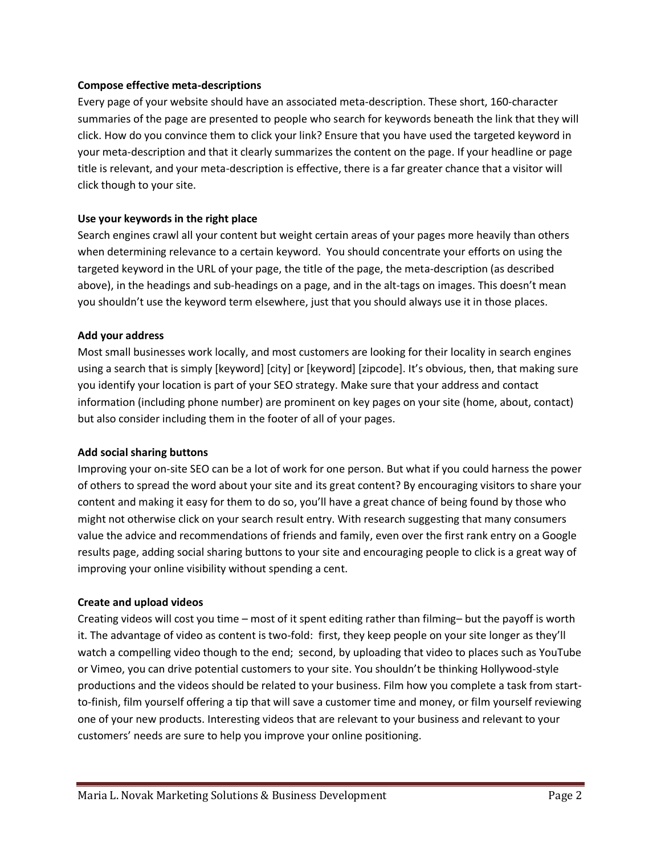### **Compose effective meta-descriptions**

Every page of your website should have an associated meta-description. These short, 160-character summaries of the page are presented to people who search for keywords beneath the link that they will click. How do you convince them to click your link? Ensure that you have used the targeted keyword in your meta-description and that it clearly summarizes the content on the page. If your headline or page title is relevant, and your meta-description is effective, there is a far greater chance that a visitor will click though to your site.

# **Use your keywords in the right place**

Search engines crawl all your content but weight certain areas of your pages more heavily than others when determining relevance to a certain keyword. You should concentrate your efforts on using the targeted keyword in the URL of your page, the title of the page, the meta-description (as described above), in the headings and sub-headings on a page, and in the alt-tags on images. This doesn't mean you shouldn't use the keyword term elsewhere, just that you should always use it in those places.

# **Add your address**

Most small businesses work locally, and most customers are looking for their locality in search engines using a search that is simply [keyword] [city] or [keyword] [zipcode]. It's obvious, then, that making sure you identify your location is part of your SEO strategy. Make sure that your address and contact information (including phone number) are prominent on key pages on your site (home, about, contact) but also consider including them in the footer of all of your pages.

### **Add social sharing buttons**

Improving your on-site SEO can be a lot of work for one person. But what if you could harness the power of others to spread the word about your site and its great content? By encouraging visitors to share your content and making it easy for them to do so, you'll have a great chance of being found by those who might not otherwise click on your search result entry. With research suggesting that many consumers value the advice and recommendations of friends and family, even over the first rank entry on a Google results page, adding social sharing buttons to your site and encouraging people to click is a great way of improving your online visibility without spending a cent.

### **Create and upload videos**

Creating videos will cost you time – most of it spent editing rather than filming– but the payoff is worth it. The advantage of video as content is two-fold: first, they keep people on your site longer as they'll watch a compelling video though to the end; second, by uploading that video to places such as YouTube or Vimeo, you can drive potential customers to your site. You shouldn't be thinking Hollywood-style productions and the videos should be related to your business. Film how you complete a task from startto-finish, film yourself offering a tip that will save a customer time and money, or film yourself reviewing one of your new products. Interesting videos that are relevant to your business and relevant to your customers' needs are sure to help you improve your online positioning.